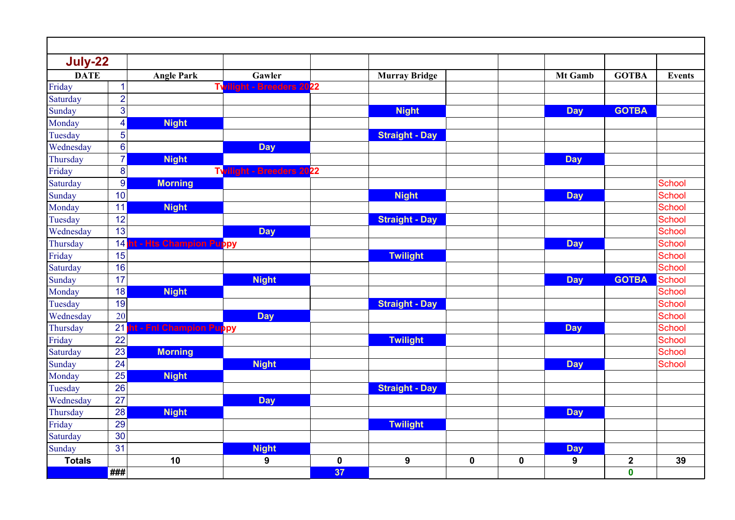| July-22       |                         |                                        |                                 |           |                       |           |             |            |                  |               |
|---------------|-------------------------|----------------------------------------|---------------------------------|-----------|-----------------------|-----------|-------------|------------|------------------|---------------|
| <b>DATE</b>   |                         | <b>Angle Park</b>                      | Gawler                          |           | <b>Murray Bridge</b>  |           |             | Mt Gamb    | <b>GOTBA</b>     | <b>Events</b> |
| Friday        | $\mathbf 1$             |                                        | TV<br>light - Breeders 2022     |           |                       |           |             |            |                  |               |
| Saturday      | $\overline{2}$          |                                        |                                 |           |                       |           |             |            |                  |               |
| Sunday        | 3                       |                                        |                                 |           | <b>Night</b>          |           |             | <b>Day</b> | <b>GOTBA</b>     |               |
| Monday        | $\overline{\mathbf{4}}$ | <b>Night</b>                           |                                 |           |                       |           |             |            |                  |               |
| Tuesday       | 5                       |                                        |                                 |           | <b>Straight - Day</b> |           |             |            |                  |               |
| Wednesday     | $6\phantom{1}6$         |                                        | <b>Day</b>                      |           |                       |           |             |            |                  |               |
| Thursday      | $\overline{7}$          | <b>Night</b>                           |                                 |           |                       |           |             | <b>Day</b> |                  |               |
| Friday        | 8                       |                                        | <b>Twilight - Breeders 2022</b> |           |                       |           |             |            |                  |               |
| Saturday      | 9                       | <b>Morning</b>                         |                                 |           |                       |           |             |            |                  | <b>School</b> |
| Sunday        | 10                      |                                        |                                 |           | <b>Night</b>          |           |             | <b>Day</b> |                  | School        |
| Monday        | 11                      | <b>Night</b>                           |                                 |           |                       |           |             |            |                  | <b>School</b> |
| Tuesday       | 12                      |                                        |                                 |           | <b>Straight - Day</b> |           |             |            |                  | <b>School</b> |
| Wednesday     | 13                      |                                        | <b>Day</b>                      |           |                       |           |             |            |                  | <b>School</b> |
| Thursday      | 14                      | - Hts Champion Puppy<br>t.             |                                 |           |                       |           |             | <b>Day</b> |                  | <b>School</b> |
| Friday        | 15                      |                                        |                                 |           | <b>Twilight</b>       |           |             |            |                  | <b>School</b> |
| Saturday      | 16                      |                                        |                                 |           |                       |           |             |            |                  | <b>School</b> |
| Sunday        | 17                      |                                        | <b>Night</b>                    |           |                       |           |             | <b>Day</b> | <b>GOTBA</b>     | School        |
| Monday        | 18                      | <b>Night</b>                           |                                 |           |                       |           |             |            |                  | <b>School</b> |
| Tuesday       | 19                      |                                        |                                 |           | <b>Straight - Day</b> |           |             |            |                  | <b>School</b> |
| Wednesday     | 20                      |                                        | <b>Day</b>                      |           |                       |           |             |            |                  | School        |
| Thursday      | 21                      | ht - Fnl Champion Pu <mark>p</mark> py |                                 |           |                       |           |             | <b>Day</b> |                  | <b>School</b> |
| Friday        | 22                      |                                        |                                 |           | <b>Twilight</b>       |           |             |            |                  | <b>School</b> |
| Saturday      | 23                      | <b>Morning</b>                         |                                 |           |                       |           |             |            |                  | School        |
| Sunday        | 24                      |                                        | <b>Night</b>                    |           |                       |           |             | <b>Day</b> |                  | School        |
| Monday        | 25                      | <b>Night</b>                           |                                 |           |                       |           |             |            |                  |               |
| Tuesday       | 26                      |                                        |                                 |           | <b>Straight - Day</b> |           |             |            |                  |               |
| Wednesday     | 27                      |                                        | <b>Day</b>                      |           |                       |           |             |            |                  |               |
| Thursday      | 28                      | <b>Night</b>                           |                                 |           |                       |           |             | <b>Day</b> |                  |               |
| Friday        | 29                      |                                        |                                 |           | <b>Twilight</b>       |           |             |            |                  |               |
| Saturday      | 30                      |                                        |                                 |           |                       |           |             |            |                  |               |
| Sunday        | 31                      |                                        | <b>Night</b>                    |           |                       |           |             | <b>Day</b> |                  |               |
| <b>Totals</b> |                         | 10                                     | 9                               | $\pmb{0}$ | 9                     | $\pmb{0}$ | $\mathbf 0$ | 9          | $\boldsymbol{2}$ | 39            |
|               | ###                     |                                        |                                 | 37        |                       |           |             |            | $\mathbf 0$      |               |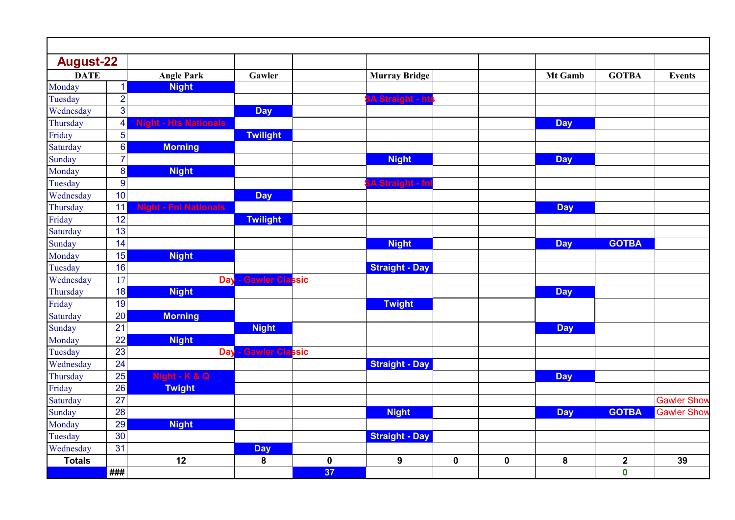| <b>August-22</b> |                 |                              |                                |             |                               |             |             |            |              |                    |
|------------------|-----------------|------------------------------|--------------------------------|-------------|-------------------------------|-------------|-------------|------------|--------------|--------------------|
| <b>DATE</b>      |                 | <b>Angle Park</b>            | Gawler                         |             | <b>Murray Bridge</b>          |             |             | Mt Gamb    | <b>GOTBA</b> | <b>Events</b>      |
| Monday           | $\mathbf{1}$    | <b>Night</b>                 |                                |             |                               |             |             |            |              |                    |
| Tuesday          | $\overline{2}$  |                              |                                |             | A Straight - <mark>hts</mark> |             |             |            |              |                    |
| Wednesday        | 3               |                              | <b>Day</b>                     |             |                               |             |             |            |              |                    |
| Thursday         | 4               | <b>Night - Hts Nationals</b> |                                |             |                               |             |             | <b>Day</b> |              |                    |
| Friday           | 5               |                              | <b>Twilight</b>                |             |                               |             |             |            |              |                    |
| Saturday         | $6 \mid$        | <b>Morning</b>               |                                |             |                               |             |             |            |              |                    |
| Sunday           | $\overline{7}$  |                              |                                |             | <b>Night</b>                  |             |             | <b>Day</b> |              |                    |
| Monday           | $\bf 8$         | <b>Night</b>                 |                                |             |                               |             |             |            |              |                    |
| Tuesday          | 9               |                              |                                |             | A Straight - fn               |             |             |            |              |                    |
| Wednesday        | 10              |                              | <b>Day</b>                     |             |                               |             |             |            |              |                    |
| Thursday         | 11              | <b>Night - Fnl Nationals</b> |                                |             |                               |             |             | <b>Day</b> |              |                    |
| Friday           | 12              |                              | <b>Twilight</b>                |             |                               |             |             |            |              |                    |
| Saturday         | 13              |                              |                                |             |                               |             |             |            |              |                    |
| Sunday           | 14              |                              |                                |             | <b>Night</b>                  |             |             | <b>Day</b> | <b>GOTBA</b> |                    |
| Monday           | 15              | <b>Night</b>                 |                                |             |                               |             |             |            |              |                    |
| Tuesday          | 16              |                              |                                |             | <b>Straight - Day</b>         |             |             |            |              |                    |
| Wednesday        | 17              |                              | - Gawler Classic<br><b>Day</b> |             |                               |             |             |            |              |                    |
| Thursday         | 18              | <b>Night</b>                 |                                |             |                               |             |             | <b>Day</b> |              |                    |
| Friday           | 19              |                              |                                |             | <b>Twight</b>                 |             |             |            |              |                    |
| Saturday         | 20              | <b>Morning</b>               |                                |             |                               |             |             |            |              |                    |
| Sunday           | 21              |                              | <b>Night</b>                   |             |                               |             |             | <b>Day</b> |              |                    |
| Monday           | 22              | <b>Night</b>                 |                                |             |                               |             |             |            |              |                    |
| Tuesday          | 23              |                              | - Gawler Classic<br><b>Day</b> |             |                               |             |             |            |              |                    |
| Wednesday        | 24              |                              |                                |             | <b>Straight - Day</b>         |             |             |            |              |                    |
| Thursday         | 25              | Night - K & Q                |                                |             |                               |             |             | <b>Day</b> |              |                    |
| Friday           | 26              | <b>Twight</b>                |                                |             |                               |             |             |            |              |                    |
| Saturday         | 27              |                              |                                |             |                               |             |             |            |              | <b>Gawler Show</b> |
| Sunday           | 28              |                              |                                |             | <b>Night</b>                  |             |             | <b>Day</b> | <b>GOTBA</b> | <b>Gawler Show</b> |
| Monday           | $\overline{29}$ | <b>Night</b>                 |                                |             |                               |             |             |            |              |                    |
| Tuesday          | $\overline{30}$ |                              |                                |             | <b>Straight - Day</b>         |             |             |            |              |                    |
| Wednesday        | $\overline{31}$ |                              | <b>Day</b>                     |             |                               |             |             |            |              |                    |
| <b>Totals</b>    |                 | 12                           | $\bf{8}$                       | $\mathbf 0$ | 9                             | $\mathbf 0$ | $\mathbf 0$ | 8          | $\mathbf{2}$ | 39                 |
|                  | $\#$ ##         |                              |                                | 37          |                               |             |             |            | $\mathbf 0$  |                    |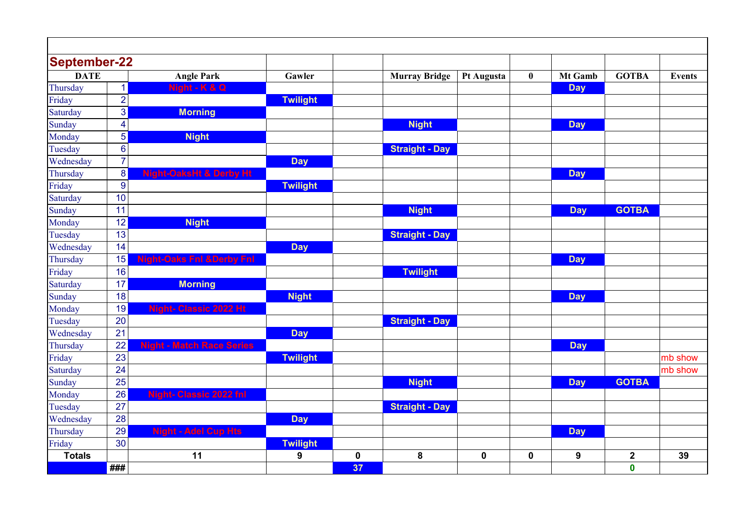| <b>September-22</b> |                  |                                      |                  |           |                       |             |             |                |              |               |
|---------------------|------------------|--------------------------------------|------------------|-----------|-----------------------|-------------|-------------|----------------|--------------|---------------|
| <b>DATE</b>         |                  | <b>Angle Park</b>                    | Gawler           |           | <b>Murray Bridge</b>  | Pt Augusta  | $\bf{0}$    | <b>Mt Gamb</b> | <b>GOTBA</b> | <b>Events</b> |
| Thursday            | $\mathbf{1}$     | Night - K & Q                        |                  |           |                       |             |             | <b>Day</b>     |              |               |
| Friday              | $\overline{2}$   |                                      | <b>Twilight</b>  |           |                       |             |             |                |              |               |
| Saturday            | 3                | <b>Morning</b>                       |                  |           |                       |             |             |                |              |               |
| Sunday              | $\overline{4}$   |                                      |                  |           | <b>Night</b>          |             |             | <b>Day</b>     |              |               |
| Monday              | 5                | <b>Night</b>                         |                  |           |                       |             |             |                |              |               |
| Tuesday             | $6\phantom{1}6$  |                                      |                  |           | <b>Straight - Day</b> |             |             |                |              |               |
| Wednesday           | $\overline{7}$   |                                      | <b>Day</b>       |           |                       |             |             |                |              |               |
| Thursday            | $\boldsymbol{8}$ | <b>Night-OaksHt &amp; Derby Ht</b>   |                  |           |                       |             |             | <b>Day</b>     |              |               |
| Friday              | 9                |                                      | <b>Twilight</b>  |           |                       |             |             |                |              |               |
| Saturday            | 10               |                                      |                  |           |                       |             |             |                |              |               |
| Sunday              | 11               |                                      |                  |           | <b>Night</b>          |             |             | <b>Day</b>     | <b>GOTBA</b> |               |
| Monday              | 12               | <b>Night</b>                         |                  |           |                       |             |             |                |              |               |
| Tuesday             | 13               |                                      |                  |           | <b>Straight - Day</b> |             |             |                |              |               |
| Wednesday           | 14               |                                      | <b>Day</b>       |           |                       |             |             |                |              |               |
| Thursday            | 15               | <b>Night-Oaks Fnl &amp;Derby Fnl</b> |                  |           |                       |             |             | <b>Day</b>     |              |               |
| Friday              | 16               |                                      |                  |           | <b>Twilight</b>       |             |             |                |              |               |
| Saturday            | 17               | <b>Morning</b>                       |                  |           |                       |             |             |                |              |               |
| Sunday              | 18               |                                      | <b>Night</b>     |           |                       |             |             | <b>Day</b>     |              |               |
| Monday              | 19               | <b>Night-Classic 2022 Ht</b>         |                  |           |                       |             |             |                |              |               |
| Tuesday             | 20               |                                      |                  |           | <b>Straight - Day</b> |             |             |                |              |               |
| Wednesday           | 21               |                                      | <b>Day</b>       |           |                       |             |             |                |              |               |
| Thursday            | 22               | <b>Night - Match Race Series</b>     |                  |           |                       |             |             | <b>Day</b>     |              |               |
| Friday              | 23               |                                      | <b>Twilight</b>  |           |                       |             |             |                |              | mb show       |
| Saturday            | 24               |                                      |                  |           |                       |             |             |                |              | mb show       |
| Sunday              | 25               |                                      |                  |           | <b>Night</b>          |             |             | <b>Day</b>     | <b>GOTBA</b> |               |
| Monday              | 26               | <b>Night- Classic 2022 fnl</b>       |                  |           |                       |             |             |                |              |               |
| Tuesday             | 27               |                                      |                  |           | <b>Straight - Day</b> |             |             |                |              |               |
| Wednesday           | 28               |                                      | <b>Day</b>       |           |                       |             |             |                |              |               |
| Thursday            | 29               | <b>Night - Adel Cup Hts</b>          |                  |           |                       |             |             | <b>Day</b>     |              |               |
| Friday              | 30               |                                      | <b>Twilight</b>  |           |                       |             |             |                |              |               |
| <b>Totals</b>       |                  | 11                                   | $\boldsymbol{9}$ | $\pmb{0}$ | 8                     | $\mathbf 0$ | $\mathbf 0$ | 9              | $\mathbf 2$  | 39            |
|                     | ###              |                                      |                  | 37        |                       |             |             |                | $\mathbf 0$  |               |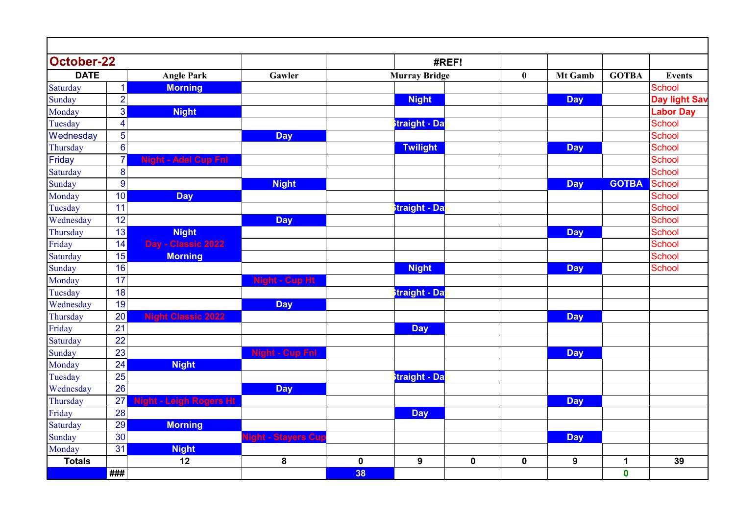| <b>October-22</b> |                 |                                |                                   |             |                      | #REF!     |           |                |              |                      |
|-------------------|-----------------|--------------------------------|-----------------------------------|-------------|----------------------|-----------|-----------|----------------|--------------|----------------------|
| <b>DATE</b>       |                 | <b>Angle Park</b>              | Gawler                            |             | <b>Murray Bridge</b> |           | $\bf{0}$  | <b>Mt Gamb</b> | <b>GOTBA</b> | <b>Events</b>        |
| Saturday          | $\vert$ 1       | <b>Morning</b>                 |                                   |             |                      |           |           |                |              | <b>School</b>        |
| Sunday            | $\overline{2}$  |                                |                                   |             | <b>Night</b>         |           |           | <b>Day</b>     |              | <b>Day light Sav</b> |
| Monday            | $\overline{3}$  | <b>Night</b>                   |                                   |             |                      |           |           |                |              | <b>Labor Day</b>     |
| Tuesday           | $\overline{4}$  |                                |                                   |             | <b>Straight - Da</b> |           |           |                |              | <b>School</b>        |
| Wednesday         | 5               |                                | <b>Day</b>                        |             |                      |           |           |                |              | <b>School</b>        |
| Thursday          | $6\phantom{1}6$ |                                |                                   |             | <b>Twilight</b>      |           |           | <b>Day</b>     |              | <b>School</b>        |
| Friday            | $\overline{7}$  | <b>Night - Adel Cup Fnl</b>    |                                   |             |                      |           |           |                |              | <b>School</b>        |
| Saturday          | 8               |                                |                                   |             |                      |           |           |                |              | <b>School</b>        |
| Sunday            | $\overline{9}$  |                                | <b>Night</b>                      |             |                      |           |           | <b>Day</b>     | <b>GOTBA</b> | School               |
| Monday            | 10              | <b>Day</b>                     |                                   |             |                      |           |           |                |              | <b>School</b>        |
| Tuesday           | 11              |                                |                                   |             | <b>Straight - Da</b> |           |           |                |              | <b>School</b>        |
| Wednesday         | 12              |                                | <b>Day</b>                        |             |                      |           |           |                |              | <b>School</b>        |
| Thursday          | 13              | <b>Night</b>                   |                                   |             |                      |           |           | <b>Day</b>     |              | <b>School</b>        |
| Friday            | 14              | Day - Classic 2022             |                                   |             |                      |           |           |                |              | <b>School</b>        |
| Saturday          | 15              | <b>Morning</b>                 |                                   |             |                      |           |           |                |              | <b>School</b>        |
| Sunday            | 16              |                                |                                   |             | <b>Night</b>         |           |           | <b>Day</b>     |              | <b>School</b>        |
| Monday            | 17              |                                | <b>Night - Cup Ht</b>             |             |                      |           |           |                |              |                      |
| Tuesday           | 18              |                                |                                   |             | <b>Straight - Da</b> |           |           |                |              |                      |
| Wednesday         | 19              |                                | <b>Day</b>                        |             |                      |           |           |                |              |                      |
| Thursday          | 20              | <b>Night Classic 2022</b>      |                                   |             |                      |           |           | <b>Day</b>     |              |                      |
| Friday            | 21              |                                |                                   |             | <b>Day</b>           |           |           |                |              |                      |
| Saturday          | 22              |                                |                                   |             |                      |           |           |                |              |                      |
| Sunday            | 23              |                                | <b>Night - Cup Fnl</b>            |             |                      |           |           | <b>Day</b>     |              |                      |
| Monday            | 24              | <b>Night</b>                   |                                   |             |                      |           |           |                |              |                      |
| Tuesday           | 25              |                                |                                   |             | <b>Straight - Da</b> |           |           |                |              |                      |
| Wednesday         | 26              |                                | <b>Day</b>                        |             |                      |           |           |                |              |                      |
| Thursday          | 27              | <b>Night - Leigh Rogers Ht</b> |                                   |             |                      |           |           | <b>Day</b>     |              |                      |
| Friday            | 28              |                                |                                   |             | <b>Day</b>           |           |           |                |              |                      |
| Saturday          | 29              | <b>Morning</b>                 |                                   |             |                      |           |           |                |              |                      |
| Sunday            | 30              |                                | light - <mark>Stayers Cu</mark> p |             |                      |           |           | <b>Day</b>     |              |                      |
| Monday            | 31              | <b>Night</b>                   |                                   |             |                      |           |           |                |              |                      |
| <b>Totals</b>     |                 | 12                             | 8                                 | $\mathbf 0$ | $\boldsymbol{9}$     | $\pmb{0}$ | $\pmb{0}$ | 9              | $\mathbf{1}$ | 39                   |
|                   | ###             |                                |                                   | 38          |                      |           |           |                | $\pmb{0}$    |                      |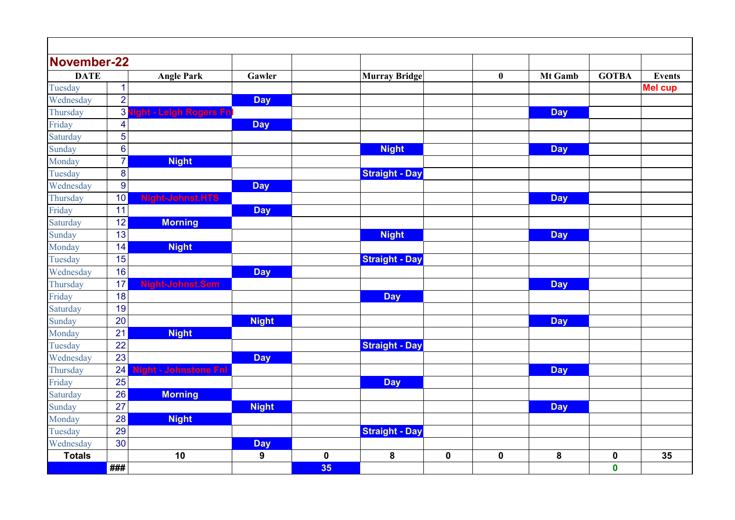| November-22   |                          |                         |                |           |                       |             |             |                |                  |                |
|---------------|--------------------------|-------------------------|----------------|-----------|-----------------------|-------------|-------------|----------------|------------------|----------------|
| <b>DATE</b>   |                          | <b>Angle Park</b>       | Gawler         |           | <b>Murray Bridge</b>  |             | $\bf{0}$    | <b>Mt Gamb</b> | <b>GOTBA</b>     | <b>Events</b>  |
| Tuesday       | 1                        |                         |                |           |                       |             |             |                |                  | <b>Mel cup</b> |
| Wednesday     | $\overline{2}$           |                         | <b>Day</b>     |           |                       |             |             |                |                  |                |
| Thursday      | 3                        | ght - Leigh Rogers Fn   |                |           |                       |             |             | <b>Day</b>     |                  |                |
| Friday        | $\overline{\mathcal{A}}$ |                         | <b>Day</b>     |           |                       |             |             |                |                  |                |
| Saturday      | 5                        |                         |                |           |                       |             |             |                |                  |                |
| Sunday        | $6\phantom{1}6$          |                         |                |           | <b>Night</b>          |             |             | <b>Day</b>     |                  |                |
| Monday        | $\overline{7}$           | <b>Night</b>            |                |           |                       |             |             |                |                  |                |
| Tuesday       | 8                        |                         |                |           | <b>Straight - Day</b> |             |             |                |                  |                |
| Wednesday     | $\boldsymbol{9}$         |                         | <b>Day</b>     |           |                       |             |             |                |                  |                |
| Thursday      | 10                       | <b>Night-Johnst.HTS</b> |                |           |                       |             |             | <b>Day</b>     |                  |                |
| Friday        | 11                       |                         | <b>Day</b>     |           |                       |             |             |                |                  |                |
| Saturday      | 12                       | <b>Morning</b>          |                |           |                       |             |             |                |                  |                |
| Sunday        | 13                       |                         |                |           | <b>Night</b>          |             |             | <b>Day</b>     |                  |                |
| Monday        | 14                       | <b>Night</b>            |                |           |                       |             |             |                |                  |                |
| Tuesday       | 15                       |                         |                |           | <b>Straight - Day</b> |             |             |                |                  |                |
| Wednesday     | 16                       |                         | <b>Day</b>     |           |                       |             |             |                |                  |                |
| Thursday      | 17                       | Night-Johnst.Sem        |                |           |                       |             |             | <b>Day</b>     |                  |                |
| Friday        | 18                       |                         |                |           | <b>Day</b>            |             |             |                |                  |                |
| Saturday      | 19                       |                         |                |           |                       |             |             |                |                  |                |
| Sunday        | 20                       |                         | <b>Night</b>   |           |                       |             |             | <b>Day</b>     |                  |                |
| Monday        | 21                       | <b>Night</b>            |                |           |                       |             |             |                |                  |                |
| Tuesday       | 22                       |                         |                |           | <b>Straight - Day</b> |             |             |                |                  |                |
| Wednesday     | 23                       |                         | <b>Day</b>     |           |                       |             |             |                |                  |                |
| Thursday      | 24                       | - Johnstone Fnl         |                |           |                       |             |             | <b>Day</b>     |                  |                |
| Friday        | 25                       |                         |                |           | <b>Day</b>            |             |             |                |                  |                |
| Saturday      | 26                       | <b>Morning</b>          |                |           |                       |             |             |                |                  |                |
| Sunday        | 27                       |                         | <b>Night</b>   |           |                       |             |             | <b>Day</b>     |                  |                |
| Monday        | 28                       | <b>Night</b>            |                |           |                       |             |             |                |                  |                |
| Tuesday       | 29                       |                         |                |           | <b>Straight - Day</b> |             |             |                |                  |                |
| Wednesday     | 30                       |                         | <b>Day</b>     |           |                       |             |             |                |                  |                |
| <b>Totals</b> |                          | 10                      | $\overline{9}$ | $\pmb{0}$ | 8                     | $\mathbf 0$ | $\mathbf 0$ | 8              | $\boldsymbol{0}$ | 35             |
|               | ###                      |                         |                | 35        |                       |             |             |                | $\bf{0}$         |                |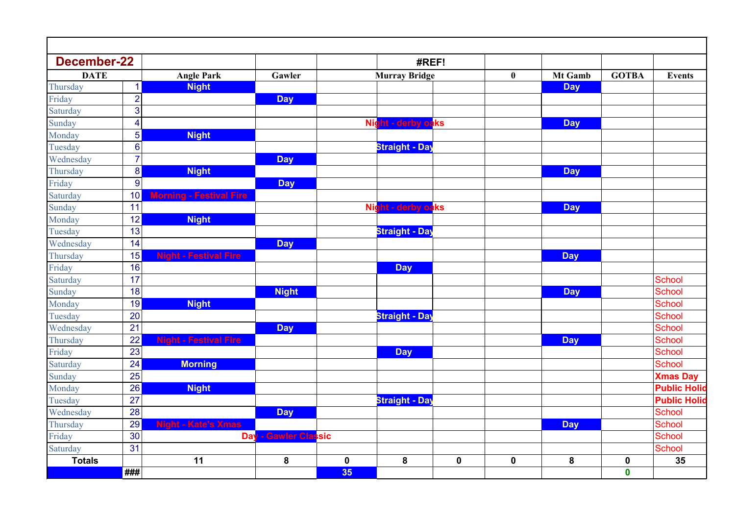| <b>December-22</b> |                  |                                |                      |             | #REF!                      |           |             |            |              |                     |
|--------------------|------------------|--------------------------------|----------------------|-------------|----------------------------|-----------|-------------|------------|--------------|---------------------|
| <b>DATE</b>        |                  | <b>Angle Park</b>              | Gawler               |             | <b>Murray Bridge</b>       |           | $\bf{0}$    | Mt Gamb    | <b>GOTBA</b> | <b>Events</b>       |
| Thursday           | $\mathbf{1}$     | <b>Night</b>                   |                      |             |                            |           |             | <b>Day</b> |              |                     |
| Friday             | $\overline{2}$   |                                | <b>Day</b>           |             |                            |           |             |            |              |                     |
| Saturday           | 3                |                                |                      |             |                            |           |             |            |              |                     |
| Sunday             | $\overline{4}$   |                                |                      |             | Night - derby oaks         |           |             | <b>Day</b> |              |                     |
| Monday             | 5 <sup>1</sup>   | <b>Night</b>                   |                      |             |                            |           |             |            |              |                     |
| Tuesday            | $\bf 6$          |                                |                      |             | <b>Straight - Day</b>      |           |             |            |              |                     |
| Wednesday          | $\overline{7}$   |                                | <b>Day</b>           |             |                            |           |             |            |              |                     |
| Thursday           | $\boldsymbol{8}$ | <b>Night</b>                   |                      |             |                            |           |             | <b>Day</b> |              |                     |
| Friday             | $\boldsymbol{9}$ |                                | <b>Day</b>           |             |                            |           |             |            |              |                     |
| Saturday           | 10 <sup>1</sup>  | <b>Morning - Festival Fire</b> |                      |             |                            |           |             |            |              |                     |
| Sunday             | 11               |                                |                      |             | Night - derby oaks         |           |             | <b>Day</b> |              |                     |
| Monday             | 12               | <b>Night</b>                   |                      |             |                            |           |             |            |              |                     |
| Tuesday            | 13               |                                |                      |             | Straight - Da <sub>)</sub> |           |             |            |              |                     |
| Wednesday          | 14               |                                | <b>Day</b>           |             |                            |           |             |            |              |                     |
| Thursday           | 15               | <b>Night - Festival Fire</b>   |                      |             |                            |           |             | <b>Day</b> |              |                     |
| Friday             | 16               |                                |                      |             | <b>Day</b>                 |           |             |            |              |                     |
| Saturday           | 17               |                                |                      |             |                            |           |             |            |              | <b>School</b>       |
| Sunday             | 18               |                                | <b>Night</b>         |             |                            |           |             | <b>Day</b> |              | <b>School</b>       |
| Monday             | 19               | <b>Night</b>                   |                      |             |                            |           |             |            |              | <b>School</b>       |
| Tuesday            | 20               |                                |                      |             | Straight - Day             |           |             |            |              | School              |
| Wednesday          | 21               |                                | <b>Day</b>           |             |                            |           |             |            |              | <b>School</b>       |
| Thursday           | 22               | <b>Night - Festival Fire</b>   |                      |             |                            |           |             | <b>Day</b> |              | School              |
| Friday             | 23               |                                |                      |             | <b>Day</b>                 |           |             |            |              | <b>School</b>       |
| Saturday           | 24               | <b>Morning</b>                 |                      |             |                            |           |             |            |              | <b>School</b>       |
| Sunday             | 25               |                                |                      |             |                            |           |             |            |              | <b>Xmas Day</b>     |
| Monday             | 26               | <b>Night</b>                   |                      |             |                            |           |             |            |              | <b>Public Holid</b> |
| Tuesday            | 27               |                                |                      |             | Straight - Day             |           |             |            |              | <b>Public Holid</b> |
| Wednesday          | 28               |                                | <b>Day</b>           |             |                            |           |             |            |              | <b>School</b>       |
| Thursday           | 29               | <b>Night - Kate's Xmas</b>     |                      |             |                            |           |             | <b>Day</b> |              | <b>School</b>       |
| Friday             | 30               |                                | Day - Gawler Classic |             |                            |           |             |            |              | <b>School</b>       |
| Saturday           | 31               |                                |                      |             |                            |           |             |            |              | <b>School</b>       |
| <b>Totals</b>      |                  | 11                             | 8                    | $\mathbf 0$ | 8                          | $\pmb{0}$ | $\mathbf 0$ | ${\bf 8}$  | $\pmb{0}$    | 35                  |
|                    | $\#$ ##          |                                |                      | 35          |                            |           |             |            | $\mathbf 0$  |                     |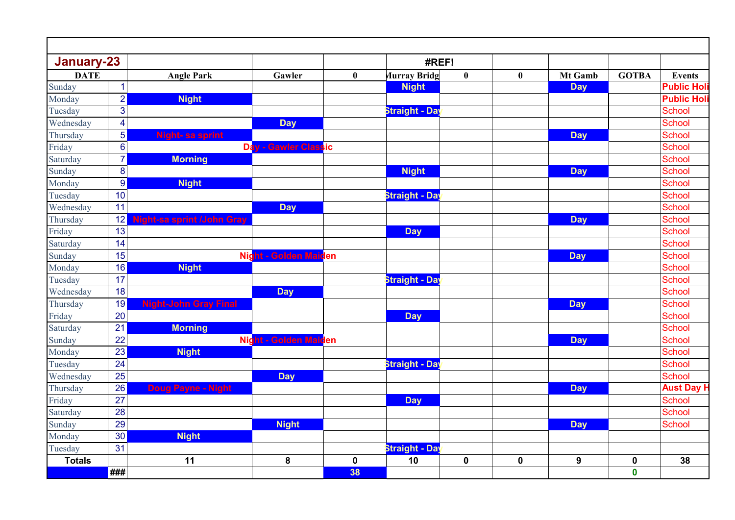| January-23    |                         |                              |                       |                  | #REF!                 |              |                  |            |              |                   |
|---------------|-------------------------|------------------------------|-----------------------|------------------|-----------------------|--------------|------------------|------------|--------------|-------------------|
| <b>DATE</b>   |                         | <b>Angle Park</b>            | Gawler                | $\boldsymbol{0}$ | <b>Murray Bridg</b>   | $\mathbf{0}$ | $\boldsymbol{0}$ | Mt Gamb    | <b>GOTBA</b> | <b>Events</b>     |
| Sunday        | 1                       |                              |                       |                  | <b>Night</b>          |              |                  | <b>Day</b> |              | <b>Public Hol</b> |
| Monday        | $\overline{2}$          | <b>Night</b>                 |                       |                  |                       |              |                  |            |              | <b>Public Hol</b> |
| Tuesday       | 3                       |                              |                       |                  | <b>Straight - Day</b> |              |                  |            |              | School            |
| Wednesday     | $\overline{\mathbf{4}}$ |                              | <b>Day</b>            |                  |                       |              |                  |            |              | <b>School</b>     |
| Thursday      | 5                       | Night-sa sprint              |                       |                  |                       |              |                  | <b>Day</b> |              | School            |
| Friday        | $\boldsymbol{6}$        |                              | Day - Gawler Classic  |                  |                       |              |                  |            |              | <b>School</b>     |
| Saturday      | $\overline{7}$          | <b>Morning</b>               |                       |                  |                       |              |                  |            |              | School            |
| Sunday        | 8                       |                              |                       |                  | <b>Night</b>          |              |                  | <b>Day</b> |              | School            |
| Monday        | $\boldsymbol{9}$        | <b>Night</b>                 |                       |                  |                       |              |                  |            |              | School            |
| Tuesday       | 10                      |                              |                       |                  | <b>Straight - Day</b> |              |                  |            |              | School            |
| Wednesday     | 11                      |                              | <b>Day</b>            |                  |                       |              |                  |            |              | <b>School</b>     |
| Thursday      | 12                      | Night-sa sprint /John Gray   |                       |                  |                       |              |                  | <b>Day</b> |              | <b>School</b>     |
| Friday        | 13                      |                              |                       |                  | <b>Day</b>            |              |                  |            |              | School            |
| Saturday      | 14                      |                              |                       |                  |                       |              |                  |            |              | <b>School</b>     |
| Sunday        | 15                      |                              | Night - Golden Maiden |                  |                       |              |                  | <b>Day</b> |              | <b>School</b>     |
| Monday        | 16                      | <b>Night</b>                 |                       |                  |                       |              |                  |            |              | <b>School</b>     |
| Tuesday       | 17                      |                              |                       |                  | <b>Straight - Day</b> |              |                  |            |              | School            |
| Wednesday     | 18                      |                              | <b>Day</b>            |                  |                       |              |                  |            |              | <b>School</b>     |
| Thursday      | 19                      | <b>Night-John Gray Final</b> |                       |                  |                       |              |                  | <b>Day</b> |              | <b>School</b>     |
| Friday        | 20                      |                              |                       |                  | <b>Day</b>            |              |                  |            |              | School            |
| Saturday      | 21                      | <b>Morning</b>               |                       |                  |                       |              |                  |            |              | <b>School</b>     |
| Sunday        | 22                      |                              | Night - Golden Maiden |                  |                       |              |                  | <b>Day</b> |              | School            |
| Monday        | 23                      | <b>Night</b>                 |                       |                  |                       |              |                  |            |              | School            |
| Tuesday       | 24                      |                              |                       |                  | <b>Straight - Day</b> |              |                  |            |              | <b>School</b>     |
| Wednesday     | 25                      |                              | <b>Day</b>            |                  |                       |              |                  |            |              | <b>School</b>     |
| Thursday      | 26                      | <b>Doug Payne - Night</b>    |                       |                  |                       |              |                  | <b>Day</b> |              | <b>Aust Day H</b> |
| Friday        | 27                      |                              |                       |                  | <b>Day</b>            |              |                  |            |              | School            |
| Saturday      | 28                      |                              |                       |                  |                       |              |                  |            |              | School            |
| Sunday        | 29                      |                              | <b>Night</b>          |                  |                       |              |                  | <b>Day</b> |              | School            |
| Monday        | 30 <sup>°</sup>         | <b>Night</b>                 |                       |                  |                       |              |                  |            |              |                   |
| Tuesday       | 31                      |                              |                       |                  | <b>Straight - Day</b> |              |                  |            |              |                   |
| <b>Totals</b> |                         | 11                           | 8                     | $\pmb{0}$        | 10                    | $\pmb{0}$    | $\pmb{0}$        | 9          | $\pmb{0}$    | 38                |
|               | ###                     |                              |                       | 38               |                       |              |                  |            | $\pmb{0}$    |                   |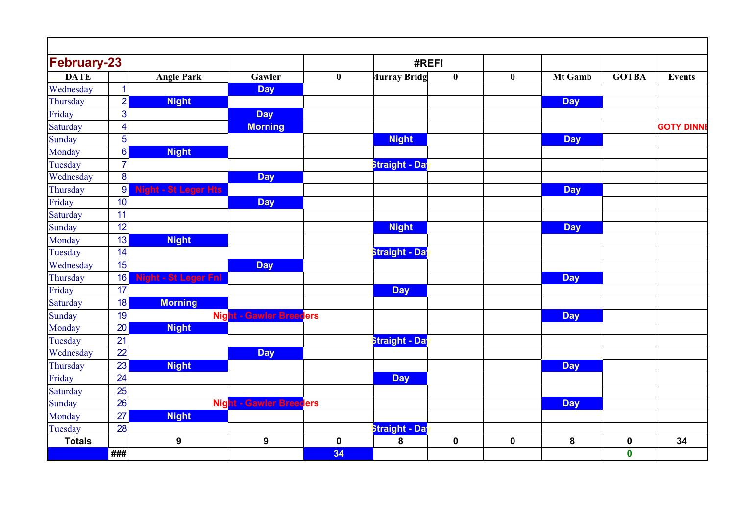| <b>February-23</b> |                  |                             |                                |             | #REF!                      |             |             |            |                  |                  |
|--------------------|------------------|-----------------------------|--------------------------------|-------------|----------------------------|-------------|-------------|------------|------------------|------------------|
| <b>DATE</b>        |                  | <b>Angle Park</b>           | Gawler                         | $\bf{0}$    | <b><i>Aurray Bridg</i></b> | $\bf{0}$    | $\bf{0}$    | Mt Gamb    | <b>GOTBA</b>     | <b>Events</b>    |
| Wednesday          | $\overline{1}$   |                             | <b>Day</b>                     |             |                            |             |             |            |                  |                  |
| Thursday           | $\overline{2}$   | <b>Night</b>                |                                |             |                            |             |             | <b>Day</b> |                  |                  |
| Friday             | 3                |                             | <b>Day</b>                     |             |                            |             |             |            |                  |                  |
| Saturday           | $\overline{4}$   |                             | <b>Morning</b>                 |             |                            |             |             |            |                  | <b>GOTY DINN</b> |
| Sunday             | 5                |                             |                                |             | <b>Night</b>               |             |             | <b>Day</b> |                  |                  |
| Monday             | $\bf 6$          | <b>Night</b>                |                                |             |                            |             |             |            |                  |                  |
| Tuesday            | $\overline{7}$   |                             |                                |             | <b>Straight - Day</b>      |             |             |            |                  |                  |
| Wednesday          | 8                |                             | <b>Day</b>                     |             |                            |             |             |            |                  |                  |
| Thursday           | $\boldsymbol{9}$ | <b>Night - St Leger Hts</b> |                                |             |                            |             |             | <b>Day</b> |                  |                  |
| Friday             | 10               |                             | <b>Day</b>                     |             |                            |             |             |            |                  |                  |
| Saturday           | 11               |                             |                                |             |                            |             |             |            |                  |                  |
| Sunday             | 12               |                             |                                |             | <b>Night</b>               |             |             | <b>Day</b> |                  |                  |
| Monday             | 13               | <b>Night</b>                |                                |             |                            |             |             |            |                  |                  |
| Tuesday            | 14               |                             |                                |             | <b>Straight - Day</b>      |             |             |            |                  |                  |
| Wednesday          | 15               |                             | <b>Day</b>                     |             |                            |             |             |            |                  |                  |
| Thursday           | 16               | light - St Leger Fnl        |                                |             |                            |             |             | <b>Day</b> |                  |                  |
| Friday             | 17               |                             |                                |             | <b>Day</b>                 |             |             |            |                  |                  |
| Saturday           | 18               | <b>Morning</b>              |                                |             |                            |             |             |            |                  |                  |
| Sunday             | 19               |                             | <b>Night - Gawler Breeders</b> |             |                            |             |             | <b>Day</b> |                  |                  |
| Monday             | 20               | <b>Night</b>                |                                |             |                            |             |             |            |                  |                  |
| Tuesday            | 21               |                             |                                |             | Straight - Day             |             |             |            |                  |                  |
| Wednesday          | 22               |                             | <b>Day</b>                     |             |                            |             |             |            |                  |                  |
| Thursday           | 23               | <b>Night</b>                |                                |             |                            |             |             | <b>Day</b> |                  |                  |
| Friday             | 24               |                             |                                |             | <b>Day</b>                 |             |             |            |                  |                  |
| Saturday           | 25               |                             |                                |             |                            |             |             |            |                  |                  |
| Sunday             | 26               |                             | <b>Night - Gawler Breeders</b> |             |                            |             |             | <b>Day</b> |                  |                  |
| Monday             | 27               | <b>Night</b>                |                                |             |                            |             |             |            |                  |                  |
| Tuesday            | 28               |                             |                                |             | Straight - Day             |             |             |            |                  |                  |
| <b>Totals</b>      |                  | 9                           | $\mathbf{9}$                   | $\mathbf 0$ | 8                          | $\mathbf 0$ | $\mathbf 0$ | 8          | $\boldsymbol{0}$ | 34               |
|                    | ###              |                             |                                | 34          |                            |             |             |            | $\mathbf 0$      |                  |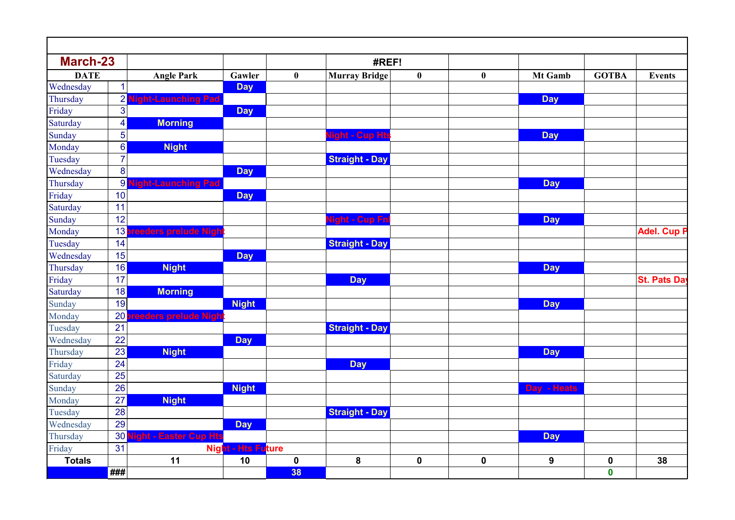| <b>March-23</b> |                  |                                 |                           |           | #REF!                          |           |             |                  |              |                    |
|-----------------|------------------|---------------------------------|---------------------------|-----------|--------------------------------|-----------|-------------|------------------|--------------|--------------------|
| <b>DATE</b>     |                  | <b>Angle Park</b>               | Gawler                    | $\bf{0}$  | <b>Murray Bridge</b>           | $\bf{0}$  | $\bf{0}$    | Mt Gamb          | <b>GOTBA</b> | <b>Events</b>      |
| Wednesday       | 1                |                                 | <b>Day</b>                |           |                                |           |             |                  |              |                    |
| Thursday        | $\overline{2}$   | ght-Launching Pad               |                           |           |                                |           |             | <b>Day</b>       |              |                    |
| Friday          | $\mathbf{3}$     |                                 | <b>Day</b>                |           |                                |           |             |                  |              |                    |
| Saturday        | 4                | <b>Morning</b>                  |                           |           |                                |           |             |                  |              |                    |
| Sunday          | 5                |                                 |                           |           | l <mark>ight - Cup Ht</mark> s |           |             | <b>Day</b>       |              |                    |
| Monday          | $6\phantom{a}$   | <b>Night</b>                    |                           |           |                                |           |             |                  |              |                    |
| Tuesday         | $\overline{7}$   |                                 |                           |           | <b>Straight - Day</b>          |           |             |                  |              |                    |
| Wednesday       | 8                |                                 | <b>Day</b>                |           |                                |           |             |                  |              |                    |
| Thursday        | $\boldsymbol{9}$ | <mark>tht-Launching P</mark> ad |                           |           |                                |           |             | <b>Day</b>       |              |                    |
| Friday          | 10               |                                 | <b>Day</b>                |           |                                |           |             |                  |              |                    |
| Saturday        | 11               |                                 |                           |           |                                |           |             |                  |              |                    |
| Sunday          | 12               |                                 |                           |           | <mark>light - Cup Fn</mark> l  |           |             | <b>Day</b>       |              |                    |
| Monday          | 13               | eeders prelude Nigh             |                           |           |                                |           |             |                  |              | <b>Adel. Cup P</b> |
| Tuesday         | 14               |                                 |                           |           | <b>Straight - Day</b>          |           |             |                  |              |                    |
| Wednesday       | 15               |                                 | <b>Day</b>                |           |                                |           |             |                  |              |                    |
| Thursday        | 16               | <b>Night</b>                    |                           |           |                                |           |             | <b>Day</b>       |              |                    |
| Friday          | 17               |                                 |                           |           | <b>Day</b>                     |           |             |                  |              | <b>St. Pats Da</b> |
| Saturday        | 18               | <b>Morning</b>                  |                           |           |                                |           |             |                  |              |                    |
| Sunday          | 19               |                                 | <b>Night</b>              |           |                                |           |             | <b>Day</b>       |              |                    |
| Monday          | 20               | eeders prelude Nigh             |                           |           |                                |           |             |                  |              |                    |
| Tuesday         | 21               |                                 |                           |           | <b>Straight - Day</b>          |           |             |                  |              |                    |
| Wednesday       | 22               |                                 | <b>Day</b>                |           |                                |           |             |                  |              |                    |
| Thursday        | 23               | <b>Night</b>                    |                           |           |                                |           |             | <b>Day</b>       |              |                    |
| Friday          | 24               |                                 |                           |           | <b>Day</b>                     |           |             |                  |              |                    |
| Saturday        | 25               |                                 |                           |           |                                |           |             |                  |              |                    |
| Sunday          | 26               |                                 | <b>Night</b>              |           |                                |           |             | Day - Heats      |              |                    |
| Monday          | 27               | <b>Night</b>                    |                           |           |                                |           |             |                  |              |                    |
| Tuesday         | 28               |                                 |                           |           | <b>Straight - Day</b>          |           |             |                  |              |                    |
| Wednesday       | 29               |                                 | <b>Day</b>                |           |                                |           |             |                  |              |                    |
| Thursday        | 30               | light - Easter Cup Hts          |                           |           |                                |           |             | <b>Day</b>       |              |                    |
| Friday          | 31               |                                 | <b>Night - Hts Future</b> |           |                                |           |             |                  |              |                    |
| <b>Totals</b>   |                  | 11                              | 10                        | $\pmb{0}$ | 8                              | $\pmb{0}$ | $\mathbf 0$ | $\boldsymbol{9}$ | $\pmb{0}$    | 38                 |
|                 | ###              |                                 |                           | 38        |                                |           |             |                  | $\mathbf 0$  |                    |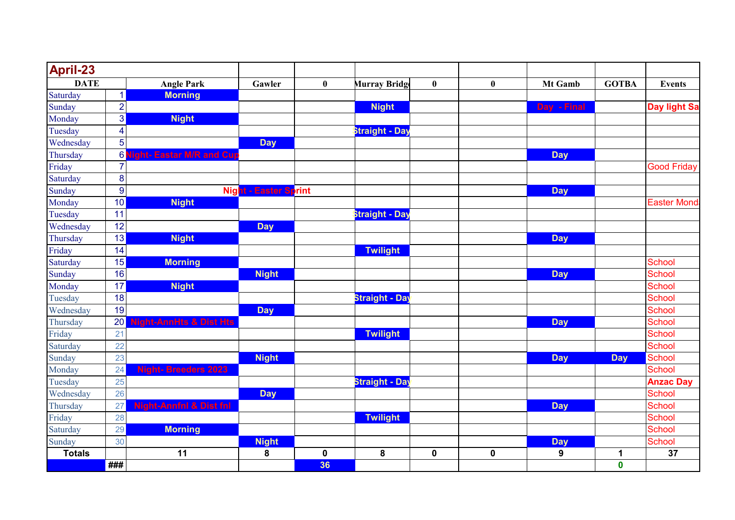| April-23      |                         |                                    |                       |                  |                       |             |             |                  |              |                     |
|---------------|-------------------------|------------------------------------|-----------------------|------------------|-----------------------|-------------|-------------|------------------|--------------|---------------------|
| <b>DATE</b>   |                         | <b>Angle Park</b>                  | Gawler                | $\boldsymbol{0}$ | <b>Murray Bridge</b>  | $\bf{0}$    | $\bf{0}$    | Mt Gamb          | <b>GOTBA</b> | <b>Events</b>       |
| Saturday      | $\mathbf{1}$            | <b>Morning</b>                     |                       |                  |                       |             |             |                  |              |                     |
| Sunday        | $\overline{2}$          |                                    |                       |                  | <b>Night</b>          |             |             | Day - Final      |              | <b>Day light Sa</b> |
| Monday        | $\overline{3}$          | <b>Night</b>                       |                       |                  |                       |             |             |                  |              |                     |
| Tuesday       | $\overline{\mathbf{4}}$ |                                    |                       |                  | <b>Straight - Day</b> |             |             |                  |              |                     |
| Wednesday     | 5                       |                                    | <b>Day</b>            |                  |                       |             |             |                  |              |                     |
| Thursday      | $6 \overline{6}$        | ght- Eastar M/R and Cu             |                       |                  |                       |             |             | <b>Day</b>       |              |                     |
| Friday        | $\overline{7}$          |                                    |                       |                  |                       |             |             |                  |              | <b>Good Friday</b>  |
| Saturday      | $\bf 8$                 |                                    |                       |                  |                       |             |             |                  |              |                     |
| Sunday        | $9$                     |                                    | Night - Easter Sprint |                  |                       |             |             | <b>Day</b>       |              |                     |
| Monday        | 10                      | <b>Night</b>                       |                       |                  |                       |             |             |                  |              | <b>Easter Mond</b>  |
| Tuesday       | 11                      |                                    |                       |                  | Straight - Day        |             |             |                  |              |                     |
| Wednesday     | 12                      |                                    | <b>Day</b>            |                  |                       |             |             |                  |              |                     |
| Thursday      | 13                      | <b>Night</b>                       |                       |                  |                       |             |             | <b>Day</b>       |              |                     |
| Friday        | 14                      |                                    |                       |                  | <b>Twilight</b>       |             |             |                  |              |                     |
| Saturday      | 15                      | <b>Morning</b>                     |                       |                  |                       |             |             |                  |              | <b>School</b>       |
| Sunday        | 16                      |                                    | <b>Night</b>          |                  |                       |             |             | <b>Day</b>       |              | <b>School</b>       |
| Monday        | 17                      | <b>Night</b>                       |                       |                  |                       |             |             |                  |              | <b>School</b>       |
| Tuesday       | 18                      |                                    |                       |                  | Straight - Day        |             |             |                  |              | <b>School</b>       |
| Wednesday     | 19                      |                                    | <b>Day</b>            |                  |                       |             |             |                  |              | <b>School</b>       |
| Thursday      | 20                      | ght-AnnHts & Dist Hts              |                       |                  |                       |             |             | <b>Day</b>       |              | <b>School</b>       |
| Friday        | 21                      |                                    |                       |                  | <b>Twilight</b>       |             |             |                  |              | <b>School</b>       |
| Saturday      | 22                      |                                    |                       |                  |                       |             |             |                  |              | School              |
| Sunday        | 23                      |                                    | <b>Night</b>          |                  |                       |             |             | <b>Day</b>       | <b>Day</b>   | <b>School</b>       |
| Monday        | 24                      | <b>Night-Breeders 2023</b>         |                       |                  |                       |             |             |                  |              | <b>School</b>       |
| Tuesday       | 25                      |                                    |                       |                  | <b>Straight - Day</b> |             |             |                  |              | <b>Anzac Day</b>    |
| Wednesday     | 26                      |                                    | <b>Day</b>            |                  |                       |             |             |                  |              | <b>School</b>       |
| Thursday      | 27                      | <b>Night-Annfnl &amp; Dist fnl</b> |                       |                  |                       |             |             | <b>Day</b>       |              | <b>School</b>       |
| Friday        | 28                      |                                    |                       |                  | <b>Twilight</b>       |             |             |                  |              | <b>School</b>       |
| Saturday      | 29                      | <b>Morning</b>                     |                       |                  |                       |             |             |                  |              | <b>School</b>       |
| Sunday        | 30                      |                                    | <b>Night</b>          |                  |                       |             |             | <b>Day</b>       |              | <b>School</b>       |
| <b>Totals</b> |                         | 11                                 | 8                     | $\pmb{0}$        | 8                     | $\mathbf 0$ | $\mathbf 0$ | $\boldsymbol{9}$ | 1            | 37                  |
|               | ###                     |                                    |                       | 36               |                       |             |             |                  | $\mathbf 0$  |                     |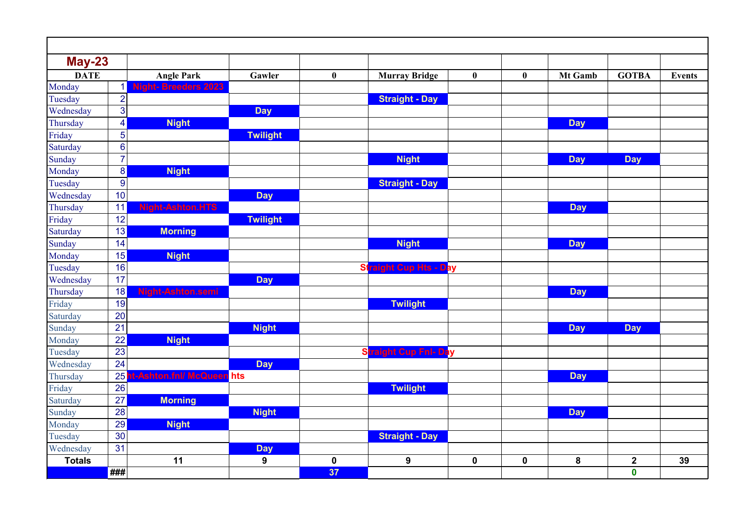| $May-23$      |                         |                            |                 |           |                               |                  |             |            |              |               |
|---------------|-------------------------|----------------------------|-----------------|-----------|-------------------------------|------------------|-------------|------------|--------------|---------------|
| <b>DATE</b>   |                         | <b>Angle Park</b>          | Gawler          | $\bf{0}$  | <b>Murray Bridge</b>          | $\boldsymbol{0}$ | $\bf{0}$    | Mt Gamb    | <b>GOTBA</b> | <b>Events</b> |
| Monday        | $\mathbf{1}$            | <b>Night-Breeders 2023</b> |                 |           |                               |                  |             |            |              |               |
| Tuesday       | $\overline{2}$          |                            |                 |           | <b>Straight - Day</b>         |                  |             |            |              |               |
| Wednesday     | 3                       |                            | <b>Day</b>      |           |                               |                  |             |            |              |               |
| Thursday      | $\overline{\mathbf{4}}$ | <b>Night</b>               |                 |           |                               |                  |             | <b>Day</b> |              |               |
| Friday        | 5                       |                            | <b>Twilight</b> |           |                               |                  |             |            |              |               |
| Saturday      | $6\phantom{1}6$         |                            |                 |           |                               |                  |             |            |              |               |
| Sunday        | $\overline{7}$          |                            |                 |           | <b>Night</b>                  |                  |             | <b>Day</b> | <b>Day</b>   |               |
| Monday        | 8                       | <b>Night</b>               |                 |           |                               |                  |             |            |              |               |
| Tuesday       | $\boldsymbol{9}$        |                            |                 |           | <b>Straight - Day</b>         |                  |             |            |              |               |
| Wednesday     | 10                      |                            | <b>Day</b>      |           |                               |                  |             |            |              |               |
| Thursday      | 11                      | <b>Night-Ashton.HTS</b>    |                 |           |                               |                  |             | <b>Day</b> |              |               |
| Friday        | 12                      |                            | <b>Twilight</b> |           |                               |                  |             |            |              |               |
| Saturday      | 13                      | <b>Morning</b>             |                 |           |                               |                  |             |            |              |               |
| Sunday        | 14                      |                            |                 |           | <b>Night</b>                  |                  |             | <b>Day</b> |              |               |
| Monday        | 15                      | <b>Night</b>               |                 |           |                               |                  |             |            |              |               |
| Tuesday       | 16                      |                            |                 |           | <b>Straight Cup Hts - Day</b> |                  |             |            |              |               |
| Wednesday     | 17                      |                            | <b>Day</b>      |           |                               |                  |             |            |              |               |
| Thursday      | 18                      | Night-Ashton.semi          |                 |           |                               |                  |             | <b>Day</b> |              |               |
| Friday        | 19                      |                            |                 |           | <b>Twilight</b>               |                  |             |            |              |               |
| Saturday      | 20                      |                            |                 |           |                               |                  |             |            |              |               |
| Sunday        | 21                      |                            | <b>Night</b>    |           |                               |                  |             | <b>Day</b> | <b>Day</b>   |               |
| Monday        | 22                      | <b>Night</b>               |                 |           |                               |                  |             |            |              |               |
| Tuesday       | 23                      |                            |                 |           | raight Cup Fnl- Day<br>SI     |                  |             |            |              |               |
| Wednesday     | 24                      |                            | <b>Day</b>      |           |                               |                  |             |            |              |               |
| Thursday      | 25                      | -Ashton.fnl/ McQueen hts   |                 |           |                               |                  |             | <b>Day</b> |              |               |
| Friday        | 26                      |                            |                 |           | <b>Twilight</b>               |                  |             |            |              |               |
| Saturday      | 27                      | <b>Morning</b>             |                 |           |                               |                  |             |            |              |               |
| Sunday        | 28                      |                            | <b>Night</b>    |           |                               |                  |             | <b>Day</b> |              |               |
| Monday        | 29                      | <b>Night</b>               |                 |           |                               |                  |             |            |              |               |
| Tuesday       | 30                      |                            |                 |           | <b>Straight - Day</b>         |                  |             |            |              |               |
| Wednesday     | 31                      |                            | <b>Day</b>      |           |                               |                  |             |            |              |               |
| <b>Totals</b> |                         | 11                         | $\mathbf{9}$    | $\pmb{0}$ | 9                             | $\mathbf 0$      | $\mathbf 0$ | 8          | $\mathbf{2}$ | 39            |
|               | ###                     |                            |                 | 37        |                               |                  |             |            | $\pmb{0}$    |               |